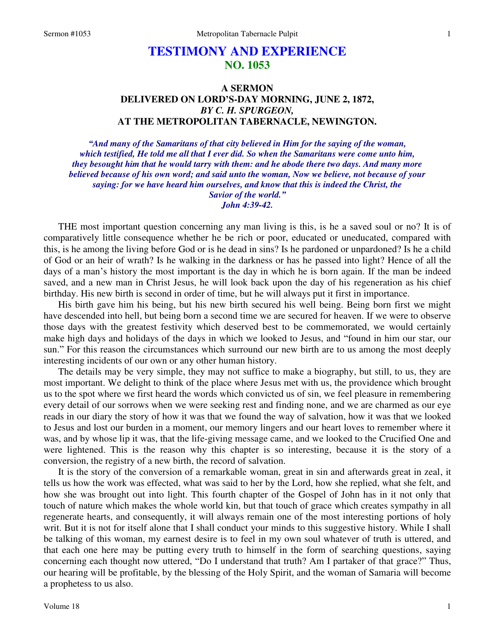# **TESTIMONY AND EXPERIENCE NO. 1053**

## **A SERMON DELIVERED ON LORD'S-DAY MORNING, JUNE 2, 1872,**  *BY C. H. SPURGEON,*  **AT THE METROPOLITAN TABERNACLE, NEWINGTON.**

*"And many of the Samaritans of that city believed in Him for the saying of the woman, which testified, He told me all that I ever did. So when the Samaritans were come unto him, they besought him that he would tarry with them: and he abode there two days. And many more believed because of his own word; and said unto the woman, Now we believe, not because of your saying: for we have heard him ourselves, and know that this is indeed the Christ, the Savior of the world." John 4:39-42.* 

THE most important question concerning any man living is this, is he a saved soul or no? It is of comparatively little consequence whether he be rich or poor, educated or uneducated, compared with this, is he among the living before God or is he dead in sins? Is he pardoned or unpardoned? Is he a child of God or an heir of wrath? Is he walking in the darkness or has he passed into light? Hence of all the days of a man's history the most important is the day in which he is born again. If the man be indeed saved, and a new man in Christ Jesus, he will look back upon the day of his regeneration as his chief birthday. His new birth is second in order of time, but he will always put it first in importance.

His birth gave him his being, but his new birth secured his well being. Being born first we might have descended into hell, but being born a second time we are secured for heaven. If we were to observe those days with the greatest festivity which deserved best to be commemorated, we would certainly make high days and holidays of the days in which we looked to Jesus, and "found in him our star, our sun." For this reason the circumstances which surround our new birth are to us among the most deeply interesting incidents of our own or any other human history.

The details may be very simple, they may not suffice to make a biography, but still, to us, they are most important. We delight to think of the place where Jesus met with us, the providence which brought us to the spot where we first heard the words which convicted us of sin, we feel pleasure in remembering every detail of our sorrows when we were seeking rest and finding none, and we are charmed as our eye reads in our diary the story of how it was that we found the way of salvation, how it was that we looked to Jesus and lost our burden in a moment, our memory lingers and our heart loves to remember where it was, and by whose lip it was, that the life-giving message came, and we looked to the Crucified One and were lightened. This is the reason why this chapter is so interesting, because it is the story of a conversion, the registry of a new birth, the record of salvation.

It is the story of the conversion of a remarkable woman, great in sin and afterwards great in zeal, it tells us how the work was effected, what was said to her by the Lord, how she replied, what she felt, and how she was brought out into light. This fourth chapter of the Gospel of John has in it not only that touch of nature which makes the whole world kin, but that touch of grace which creates sympathy in all regenerate hearts, and consequently, it will always remain one of the most interesting portions of holy writ. But it is not for itself alone that I shall conduct your minds to this suggestive history. While I shall be talking of this woman, my earnest desire is to feel in my own soul whatever of truth is uttered, and that each one here may be putting every truth to himself in the form of searching questions, saying concerning each thought now uttered, "Do I understand that truth? Am I partaker of that grace?" Thus, our hearing will be profitable, by the blessing of the Holy Spirit, and the woman of Samaria will become a prophetess to us also.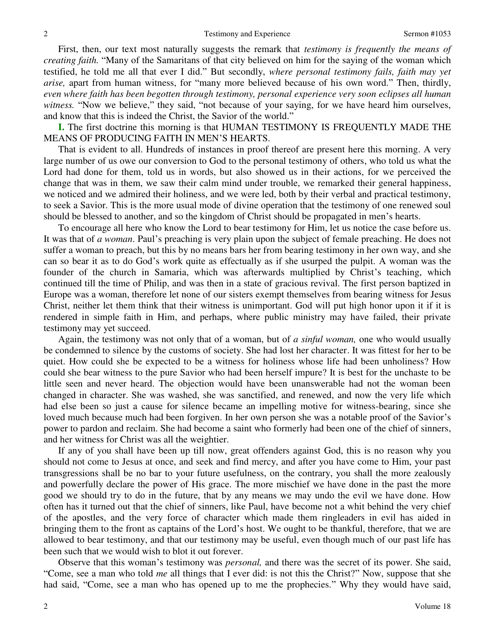First, then, our text most naturally suggests the remark that *testimony is frequently the means of creating faith.* "Many of the Samaritans of that city believed on him for the saying of the woman which testified, he told me all that ever I did." But secondly, *where personal testimony fails, faith may yet arise,* apart from human witness, for "many more believed because of his own word." Then, thirdly, *even where faith has been begotten through testimony, personal experience very soon eclipses all human witness.* "Now we believe," they said, "not because of your saying, for we have heard him ourselves, and know that this is indeed the Christ, the Savior of the world."

**I.** The first doctrine this morning is that HUMAN TESTIMONY IS FREQUENTLY MADE THE MEANS OF PRODUCING FAITH IN MEN'S HEARTS.

That is evident to all. Hundreds of instances in proof thereof are present here this morning. A very large number of us owe our conversion to God to the personal testimony of others, who told us what the Lord had done for them, told us in words, but also showed us in their actions, for we perceived the change that was in them, we saw their calm mind under trouble, we remarked their general happiness, we noticed and we admired their holiness, and we were led, both by their verbal and practical testimony, to seek a Savior. This is the more usual mode of divine operation that the testimony of one renewed soul should be blessed to another, and so the kingdom of Christ should be propagated in men's hearts.

To encourage all here who know the Lord to bear testimony for Him, let us notice the case before us. It was that of *a woman*. Paul's preaching is very plain upon the subject of female preaching. He does not suffer a woman to preach, but this by no means bars her from bearing testimony in her own way, and she can so bear it as to do God's work quite as effectually as if she usurped the pulpit. A woman was the founder of the church in Samaria, which was afterwards multiplied by Christ's teaching, which continued till the time of Philip, and was then in a state of gracious revival. The first person baptized in Europe was a woman, therefore let none of our sisters exempt themselves from bearing witness for Jesus Christ, neither let them think that their witness is unimportant. God will put high honor upon it if it is rendered in simple faith in Him, and perhaps, where public ministry may have failed, their private testimony may yet succeed.

Again, the testimony was not only that of a woman, but of *a sinful woman,* one who would usually be condemned to silence by the customs of society. She had lost her character. It was fittest for her to be quiet. How could she be expected to be a witness for holiness whose life had been unholiness? How could she bear witness to the pure Savior who had been herself impure? It is best for the unchaste to be little seen and never heard. The objection would have been unanswerable had not the woman been changed in character. She was washed, she was sanctified, and renewed, and now the very life which had else been so just a cause for silence became an impelling motive for witness-bearing, since she loved much because much had been forgiven. In her own person she was a notable proof of the Savior's power to pardon and reclaim. She had become a saint who formerly had been one of the chief of sinners, and her witness for Christ was all the weightier.

If any of you shall have been up till now, great offenders against God, this is no reason why you should not come to Jesus at once, and seek and find mercy, and after you have come to Him, your past transgressions shall be no bar to your future usefulness, on the contrary, you shall the more zealously and powerfully declare the power of His grace. The more mischief we have done in the past the more good we should try to do in the future, that by any means we may undo the evil we have done. How often has it turned out that the chief of sinners, like Paul, have become not a whit behind the very chief of the apostles, and the very force of character which made them ringleaders in evil has aided in bringing them to the front as captains of the Lord's host. We ought to be thankful, therefore, that we are allowed to bear testimony, and that our testimony may be useful, even though much of our past life has been such that we would wish to blot it out forever.

Observe that this woman's testimony was *personal,* and there was the secret of its power. She said, "Come, see a man who told *me* all things that I ever did: is not this the Christ?" Now, suppose that she had said, "Come, see a man who has opened up to me the prophecies." Why they would have said,

2

2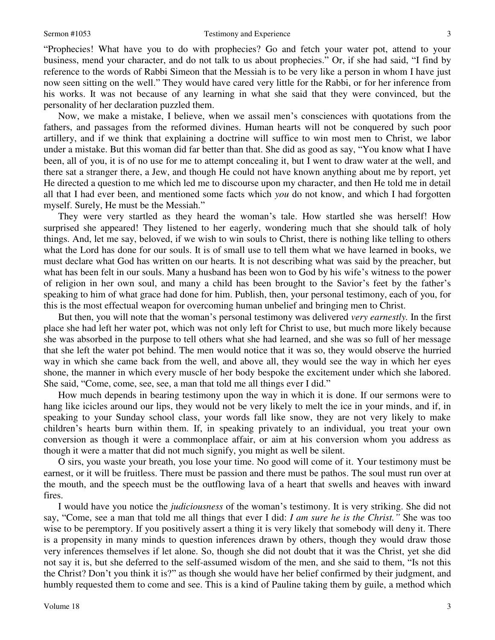"Prophecies! What have you to do with prophecies? Go and fetch your water pot, attend to your business, mend your character, and do not talk to us about prophecies." Or, if she had said, "I find by reference to the words of Rabbi Simeon that the Messiah is to be very like a person in whom I have just now seen sitting on the well." They would have cared very little for the Rabbi, or for her inference from his works. It was not because of any learning in what she said that they were convinced, but the personality of her declaration puzzled them.

Now, we make a mistake, I believe, when we assail men's consciences with quotations from the fathers, and passages from the reformed divines. Human hearts will not be conquered by such poor artillery, and if we think that explaining a doctrine will suffice to win most men to Christ, we labor under a mistake. But this woman did far better than that. She did as good as say, "You know what I have been, all of you, it is of no use for me to attempt concealing it, but I went to draw water at the well, and there sat a stranger there, a Jew, and though He could not have known anything about me by report, yet He directed a question to me which led me to discourse upon my character, and then He told me in detail all that I had ever been, and mentioned some facts which *you* do not know, and which I had forgotten myself. Surely, He must be the Messiah."

They were very startled as they heard the woman's tale. How startled she was herself! How surprised she appeared! They listened to her eagerly, wondering much that she should talk of holy things. And, let me say, beloved, if we wish to win souls to Christ, there is nothing like telling to others what the Lord has done for our souls. It is of small use to tell them what we have learned in books, we must declare what God has written on our hearts*.* It is not describing what was said by the preacher, but what has been felt in our souls. Many a husband has been won to God by his wife's witness to the power of religion in her own soul, and many a child has been brought to the Savior's feet by the father's speaking to him of what grace had done for him. Publish, then, your personal testimony, each of you, for this is the most effectual weapon for overcoming human unbelief and bringing men to Christ.

But then, you will note that the woman's personal testimony was delivered *very earnestly.* In the first place she had left her water pot, which was not only left for Christ to use, but much more likely because she was absorbed in the purpose to tell others what she had learned, and she was so full of her message that she left the water pot behind. The men would notice that it was so, they would observe the hurried way in which she came back from the well, and above all, they would see the way in which her eyes shone, the manner in which every muscle of her body bespoke the excitement under which she labored. She said, "Come, come, see, see, a man that told me all things ever I did."

How much depends in bearing testimony upon the way in which it is done. If our sermons were to hang like icicles around our lips, they would not be very likely to melt the ice in your minds, and if, in speaking to your Sunday school class, your words fall like snow, they are not very likely to make children's hearts burn within them. If, in speaking privately to an individual, you treat your own conversion as though it were a commonplace affair, or aim at his conversion whom you address as though it were a matter that did not much signify, you might as well be silent.

O sirs, you waste your breath, you lose your time. No good will come of it. Your testimony must be earnest, or it will be fruitless. There must be passion and there must be pathos. The soul must run over at the mouth, and the speech must be the outflowing lava of a heart that swells and heaves with inward fires.

I would have you notice the *judiciousness* of the woman's testimony. It is very striking. She did not say, "Come, see a man that told me all things that ever I did: *I am sure he is the Christ."* She was too wise to be peremptory. If you positively assert a thing it is very likely that somebody will deny it. There is a propensity in many minds to question inferences drawn by others, though they would draw those very inferences themselves if let alone. So, though she did not doubt that it was the Christ, yet she did not say it is, but she deferred to the self-assumed wisdom of the men, and she said to them, "Is not this the Christ? Don't you think it is?" as though she would have her belief confirmed by their judgment, and humbly requested them to come and see. This is a kind of Pauline taking them by guile, a method which

3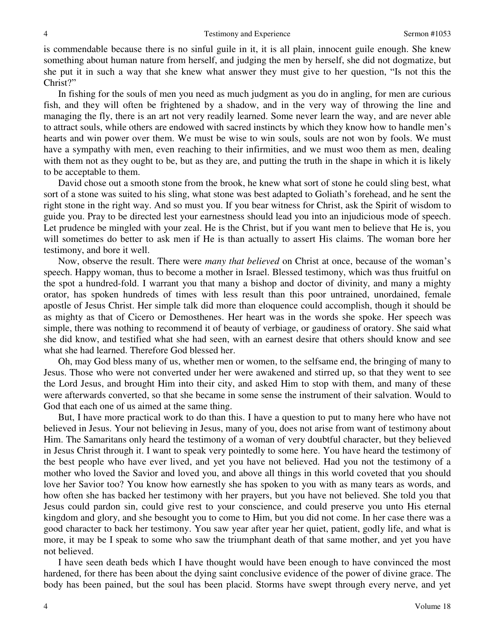is commendable because there is no sinful guile in it, it is all plain, innocent guile enough. She knew something about human nature from herself, and judging the men by herself, she did not dogmatize, but she put it in such a way that she knew what answer they must give to her question, "Is not this the Christ?"

In fishing for the souls of men you need as much judgment as you do in angling, for men are curious fish, and they will often be frightened by a shadow, and in the very way of throwing the line and managing the fly, there is an art not very readily learned. Some never learn the way, and are never able to attract souls, while others are endowed with sacred instincts by which they know how to handle men's hearts and win power over them. We must be wise to win souls, souls are not won by fools. We must have a sympathy with men, even reaching to their infirmities, and we must woo them as men, dealing with them not as they ought to be, but as they are, and putting the truth in the shape in which it is likely to be acceptable to them.

David chose out a smooth stone from the brook, he knew what sort of stone he could sling best, what sort of a stone was suited to his sling, what stone was best adapted to Goliath's forehead, and he sent the right stone in the right way. And so must you. If you bear witness for Christ, ask the Spirit of wisdom to guide you. Pray to be directed lest your earnestness should lead you into an injudicious mode of speech. Let prudence be mingled with your zeal. He is the Christ, but if you want men to believe that He is, you will sometimes do better to ask men if He is than actually to assert His claims. The woman bore her testimony, and bore it well.

Now, observe the result. There were *many that believed* on Christ at once, because of the woman's speech. Happy woman, thus to become a mother in Israel. Blessed testimony, which was thus fruitful on the spot a hundred-fold. I warrant you that many a bishop and doctor of divinity, and many a mighty orator, has spoken hundreds of times with less result than this poor untrained, unordained, female apostle of Jesus Christ. Her simple talk did more than eloquence could accomplish, though it should be as mighty as that of Cicero or Demosthenes. Her heart was in the words she spoke. Her speech was simple, there was nothing to recommend it of beauty of verbiage, or gaudiness of oratory. She said what she did know, and testified what she had seen, with an earnest desire that others should know and see what she had learned. Therefore God blessed her.

Oh, may God bless many of us, whether men or women, to the selfsame end, the bringing of many to Jesus. Those who were not converted under her were awakened and stirred up, so that they went to see the Lord Jesus, and brought Him into their city, and asked Him to stop with them, and many of these were afterwards converted, so that she became in some sense the instrument of their salvation. Would to God that each one of us aimed at the same thing.

But, I have more practical work to do than this. I have a question to put to many here who have not believed in Jesus. Your not believing in Jesus, many of you, does not arise from want of testimony about Him. The Samaritans only heard the testimony of a woman of very doubtful character, but they believed in Jesus Christ through it. I want to speak very pointedly to some here. You have heard the testimony of the best people who have ever lived, and yet you have not believed. Had you not the testimony of a mother who loved the Savior and loved you, and above all things in this world coveted that you should love her Savior too? You know how earnestly she has spoken to you with as many tears as words, and how often she has backed her testimony with her prayers, but you have not believed. She told you that Jesus could pardon sin, could give rest to your conscience, and could preserve you unto His eternal kingdom and glory, and she besought you to come to Him, but you did not come. In her case there was a good character to back her testimony. You saw year after year her quiet, patient, godly life, and what is more, it may be I speak to some who saw the triumphant death of that same mother, and yet you have not believed.

I have seen death beds which I have thought would have been enough to have convinced the most hardened, for there has been about the dying saint conclusive evidence of the power of divine grace. The body has been pained, but the soul has been placid. Storms have swept through every nerve, and yet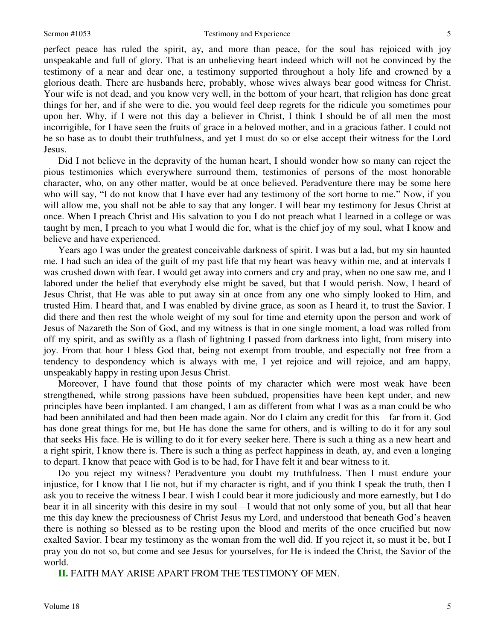perfect peace has ruled the spirit, ay, and more than peace, for the soul has rejoiced with joy unspeakable and full of glory. That is an unbelieving heart indeed which will not be convinced by the testimony of a near and dear one, a testimony supported throughout a holy life and crowned by a glorious death. There are husbands here, probably, whose wives always bear good witness for Christ. Your wife is not dead, and you know very well, in the bottom of your heart, that religion has done great things for her, and if she were to die, you would feel deep regrets for the ridicule you sometimes pour upon her. Why, if I were not this day a believer in Christ, I think I should be of all men the most incorrigible, for I have seen the fruits of grace in a beloved mother, and in a gracious father. I could not be so base as to doubt their truthfulness, and yet I must do so or else accept their witness for the Lord Jesus.

Did I not believe in the depravity of the human heart, I should wonder how so many can reject the pious testimonies which everywhere surround them, testimonies of persons of the most honorable character, who, on any other matter, would be at once believed. Peradventure there may be some here who will say, "I do not know that I have ever had any testimony of the sort borne to me." Now, if you will allow me, you shall not be able to say that any longer. I will bear my testimony for Jesus Christ at once. When I preach Christ and His salvation to you I do not preach what I learned in a college or was taught by men, I preach to you what I would die for, what is the chief joy of my soul, what I know and believe and have experienced.

Years ago I was under the greatest conceivable darkness of spirit. I was but a lad, but my sin haunted me. I had such an idea of the guilt of my past life that my heart was heavy within me, and at intervals I was crushed down with fear. I would get away into corners and cry and pray, when no one saw me, and I labored under the belief that everybody else might be saved, but that I would perish. Now, I heard of Jesus Christ, that He was able to put away sin at once from any one who simply looked to Him, and trusted Him. I heard that, and I was enabled by divine grace, as soon as I heard it, to trust the Savior. I did there and then rest the whole weight of my soul for time and eternity upon the person and work of Jesus of Nazareth the Son of God, and my witness is that in one single moment, a load was rolled from off my spirit, and as swiftly as a flash of lightning I passed from darkness into light, from misery into joy. From that hour I bless God that, being not exempt from trouble, and especially not free from a tendency to despondency which is always with me, I yet rejoice and will rejoice, and am happy, unspeakably happy in resting upon Jesus Christ.

Moreover, I have found that those points of my character which were most weak have been strengthened, while strong passions have been subdued, propensities have been kept under, and new principles have been implanted. I am changed, I am as different from what I was as a man could be who had been annihilated and had then been made again. Nor do I claim any credit for this—far from it. God has done great things for me, but He has done the same for others, and is willing to do it for any soul that seeks His face. He is willing to do it for every seeker here. There is such a thing as a new heart and a right spirit, I know there is. There is such a thing as perfect happiness in death, ay, and even a longing to depart. I know that peace with God is to be had, for I have felt it and bear witness to it.

Do you reject my witness? Peradventure you doubt my truthfulness. Then I must endure your injustice, for I know that I lie not, but if my character is right, and if you think I speak the truth, then I ask you to receive the witness I bear. I wish I could bear it more judiciously and more earnestly, but I do bear it in all sincerity with this desire in my soul—I would that not only some of you, but all that hear me this day knew the preciousness of Christ Jesus my Lord, and understood that beneath God's heaven there is nothing so blessed as to be resting upon the blood and merits of the once crucified but now exalted Savior. I bear my testimony as the woman from the well did. If you reject it, so must it be, but I pray you do not so, but come and see Jesus for yourselves, for He is indeed the Christ, the Savior of the world.

**II.** FAITH MAY ARISE APART FROM THE TESTIMONY OF MEN.

5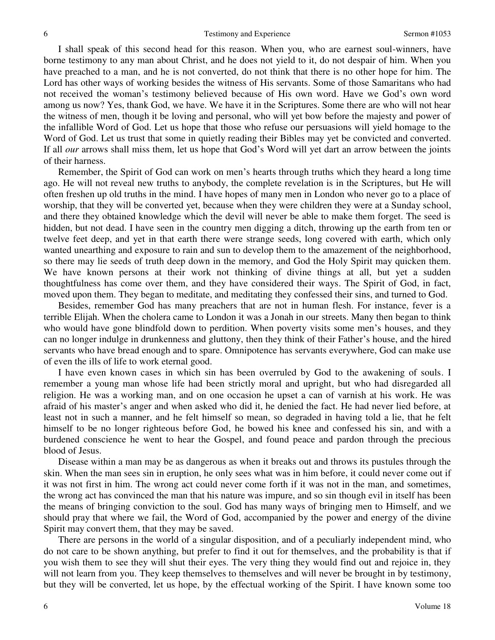I shall speak of this second head for this reason. When you, who are earnest soul-winners, have borne testimony to any man about Christ, and he does not yield to it, do not despair of him. When you have preached to a man, and he is not converted, do not think that there is no other hope for him. The Lord has other ways of working besides the witness of His servants. Some of those Samaritans who had not received the woman's testimony believed because of His own word. Have we God's own word among us now? Yes, thank God, we have. We have it in the Scriptures. Some there are who will not hear the witness of men, though it be loving and personal, who will yet bow before the majesty and power of the infallible Word of God. Let us hope that those who refuse our persuasions will yield homage to the Word of God. Let us trust that some in quietly reading their Bibles may yet be convicted and converted. If all *our* arrows shall miss them, let us hope that God's Word will yet dart an arrow between the joints of their harness.

Remember, the Spirit of God can work on men's hearts through truths which they heard a long time ago. He will not reveal new truths to anybody, the complete revelation is in the Scriptures, but He will often freshen up old truths in the mind. I have hopes of many men in London who never go to a place of worship, that they will be converted yet, because when they were children they were at a Sunday school, and there they obtained knowledge which the devil will never be able to make them forget. The seed is hidden, but not dead. I have seen in the country men digging a ditch, throwing up the earth from ten or twelve feet deep, and yet in that earth there were strange seeds, long covered with earth, which only wanted unearthing and exposure to rain and sun to develop them to the amazement of the neighborhood, so there may lie seeds of truth deep down in the memory, and God the Holy Spirit may quicken them. We have known persons at their work not thinking of divine things at all, but yet a sudden thoughtfulness has come over them, and they have considered their ways. The Spirit of God, in fact, moved upon them. They began to meditate, and meditating they confessed their sins, and turned to God.

Besides, remember God has many preachers that are not in human flesh. For instance, fever is a terrible Elijah. When the cholera came to London it was a Jonah in our streets. Many then began to think who would have gone blindfold down to perdition. When poverty visits some men's houses, and they can no longer indulge in drunkenness and gluttony, then they think of their Father's house, and the hired servants who have bread enough and to spare. Omnipotence has servants everywhere, God can make use of even the ills of life to work eternal good.

I have even known cases in which sin has been overruled by God to the awakening of souls. I remember a young man whose life had been strictly moral and upright, but who had disregarded all religion. He was a working man, and on one occasion he upset a can of varnish at his work. He was afraid of his master's anger and when asked who did it, he denied the fact. He had never lied before, at least not in such a manner, and he felt himself so mean, so degraded in having told a lie, that he felt himself to be no longer righteous before God, he bowed his knee and confessed his sin, and with a burdened conscience he went to hear the Gospel, and found peace and pardon through the precious blood of Jesus.

Disease within a man may be as dangerous as when it breaks out and throws its pustules through the skin. When the man sees sin in eruption, he only sees what was in him before, it could never come out if it was not first in him. The wrong act could never come forth if it was not in the man, and sometimes, the wrong act has convinced the man that his nature was impure, and so sin though evil in itself has been the means of bringing conviction to the soul. God has many ways of bringing men to Himself, and we should pray that where we fail, the Word of God, accompanied by the power and energy of the divine Spirit may convert them, that they may be saved.

There are persons in the world of a singular disposition, and of a peculiarly independent mind, who do not care to be shown anything, but prefer to find it out for themselves, and the probability is that if you wish them to see they will shut their eyes. The very thing they would find out and rejoice in, they will not learn from you. They keep themselves to themselves and will never be brought in by testimony, but they will be converted, let us hope, by the effectual working of the Spirit. I have known some too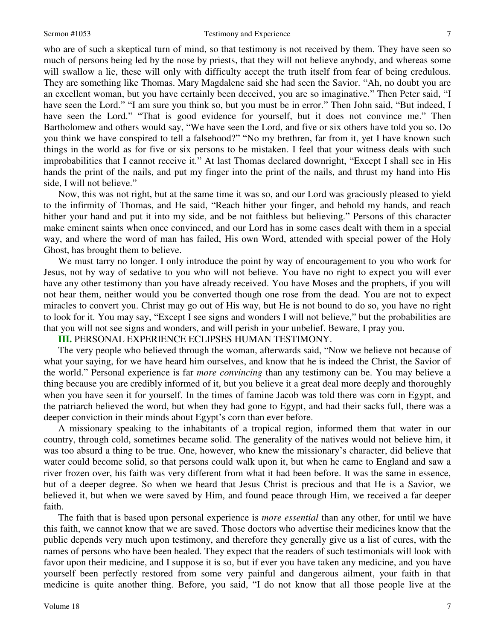#### Sermon #1053 Testimony and Experience

who are of such a skeptical turn of mind, so that testimony is not received by them. They have seen so much of persons being led by the nose by priests, that they will not believe anybody, and whereas some will swallow a lie, these will only with difficulty accept the truth itself from fear of being credulous. They are something like Thomas. Mary Magdalene said she had seen the Savior. "Ah, no doubt you are an excellent woman, but you have certainly been deceived, you are so imaginative." Then Peter said, "I have seen the Lord." "I am sure you think so, but you must be in error." Then John said, "But indeed, I have seen the Lord." "That is good evidence for yourself, but it does not convince me." Then Bartholomew and others would say, "We have seen the Lord, and five or six others have told you so. Do you think we have conspired to tell a falsehood?" "No my brethren, far from it, yet I have known such things in the world as for five or six persons to be mistaken. I feel that your witness deals with such improbabilities that I cannot receive it." At last Thomas declared downright, "Except I shall see in His hands the print of the nails, and put my finger into the print of the nails, and thrust my hand into His side, I will not believe."

Now, this was not right, but at the same time it was so, and our Lord was graciously pleased to yield to the infirmity of Thomas, and He said, "Reach hither your finger, and behold my hands, and reach hither your hand and put it into my side, and be not faithless but believing." Persons of this character make eminent saints when once convinced, and our Lord has in some cases dealt with them in a special way, and where the word of man has failed, His own Word, attended with special power of the Holy Ghost, has brought them to believe.

We must tarry no longer. I only introduce the point by way of encouragement to you who work for Jesus, not by way of sedative to you who will not believe. You have no right to expect you will ever have any other testimony than you have already received. You have Moses and the prophets, if you will not hear them, neither would you be converted though one rose from the dead. You are not to expect miracles to convert you. Christ may go out of His way, but He is not bound to do so, you have no right to look for it. You may say, "Except I see signs and wonders I will not believe," but the probabilities are that you will not see signs and wonders, and will perish in your unbelief. Beware, I pray you.

#### **III.** PERSONAL EXPERIENCE ECLIPSES HUMAN TESTIMONY.

The very people who believed through the woman, afterwards said, "Now we believe not because of what your saying, for we have heard him ourselves, and know that he is indeed the Christ, the Savior of the world." Personal experience is far *more convincing* than any testimony can be. You may believe a thing because you are credibly informed of it, but you believe it a great deal more deeply and thoroughly when you have seen it for yourself. In the times of famine Jacob was told there was corn in Egypt, and the patriarch believed the word, but when they had gone to Egypt, and had their sacks full, there was a deeper conviction in their minds about Egypt's corn than ever before.

A missionary speaking to the inhabitants of a tropical region, informed them that water in our country, through cold, sometimes became solid. The generality of the natives would not believe him, it was too absurd a thing to be true. One, however, who knew the missionary's character, did believe that water could become solid, so that persons could walk upon it, but when he came to England and saw a river frozen over, his faith was very different from what it had been before. It was the same in essence, but of a deeper degree. So when we heard that Jesus Christ is precious and that He is a Savior, we believed it, but when we were saved by Him, and found peace through Him, we received a far deeper faith.

The faith that is based upon personal experience is *more essential* than any other, for until we have this faith, we cannot know that we are saved. Those doctors who advertise their medicines know that the public depends very much upon testimony, and therefore they generally give us a list of cures, with the names of persons who have been healed. They expect that the readers of such testimonials will look with favor upon their medicine, and I suppose it is so, but if ever you have taken any medicine, and you have yourself been perfectly restored from some very painful and dangerous ailment, your faith in that medicine is quite another thing. Before, you said, "I do not know that all those people live at the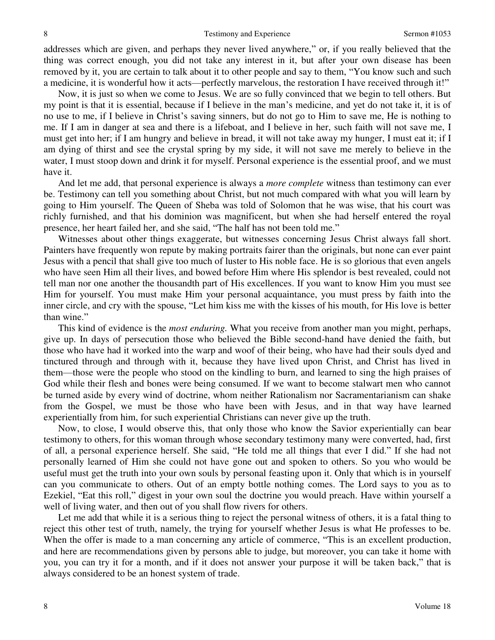addresses which are given, and perhaps they never lived anywhere," or, if you really believed that the thing was correct enough, you did not take any interest in it, but after your own disease has been removed by it, you are certain to talk about it to other people and say to them, "You know such and such a medicine, it is wonderful how it acts—perfectly marvelous, the restoration I have received through it!"

Now, it is just so when we come to Jesus. We are so fully convinced that we begin to tell others. But my point is that it is essential, because if I believe in the man's medicine, and yet do not take it, it is of no use to me, if I believe in Christ's saving sinners, but do not go to Him to save me, He is nothing to me. If I am in danger at sea and there is a lifeboat, and I believe in her, such faith will not save me, I must get into her; if I am hungry and believe in bread, it will not take away my hunger, I must eat it; if I am dying of thirst and see the crystal spring by my side, it will not save me merely to believe in the water, I must stoop down and drink it for myself. Personal experience is the essential proof, and we must have it.

And let me add, that personal experience is always a *more complete* witness than testimony can ever be. Testimony can tell you something about Christ, but not much compared with what you will learn by going to Him yourself. The Queen of Sheba was told of Solomon that he was wise, that his court was richly furnished, and that his dominion was magnificent, but when she had herself entered the royal presence, her heart failed her, and she said, "The half has not been told me."

Witnesses about other things exaggerate, but witnesses concerning Jesus Christ always fall short. Painters have frequently won repute by making portraits fairer than the originals, but none can ever paint Jesus with a pencil that shall give too much of luster to His noble face. He is so glorious that even angels who have seen Him all their lives, and bowed before Him where His splendor is best revealed, could not tell man nor one another the thousandth part of His excellences. If you want to know Him you must see Him for yourself. You must make Him your personal acquaintance, you must press by faith into the inner circle, and cry with the spouse, "Let him kiss me with the kisses of his mouth, for His love is better than wine."

This kind of evidence is the *most enduring.* What you receive from another man you might, perhaps, give up. In days of persecution those who believed the Bible second-hand have denied the faith, but those who have had it worked into the warp and woof of their being, who have had their souls dyed and tinctured through and through with it, because they have lived upon Christ, and Christ has lived in them—those were the people who stood on the kindling to burn, and learned to sing the high praises of God while their flesh and bones were being consumed. If we want to become stalwart men who cannot be turned aside by every wind of doctrine, whom neither Rationalism nor Sacramentarianism can shake from the Gospel, we must be those who have been with Jesus, and in that way have learned experientially from him, for such experiential Christians can never give up the truth.

Now, to close, I would observe this, that only those who know the Savior experientially can bear testimony to others, for this woman through whose secondary testimony many were converted, had, first of all, a personal experience herself. She said, "He told me all things that ever I did." If she had not personally learned of Him she could not have gone out and spoken to others. So you who would be useful must get the truth into your own souls by personal feasting upon it. Only that which is in yourself can you communicate to others. Out of an empty bottle nothing comes. The Lord says to you as to Ezekiel, "Eat this roll," digest in your own soul the doctrine you would preach. Have within yourself a well of living water, and then out of you shall flow rivers for others.

Let me add that while it is a serious thing to reject the personal witness of others, it is a fatal thing to reject this other test of truth, namely, the trying for yourself whether Jesus is what He professes to be. When the offer is made to a man concerning any article of commerce, "This is an excellent production, and here are recommendations given by persons able to judge, but moreover, you can take it home with you, you can try it for a month, and if it does not answer your purpose it will be taken back," that is always considered to be an honest system of trade.